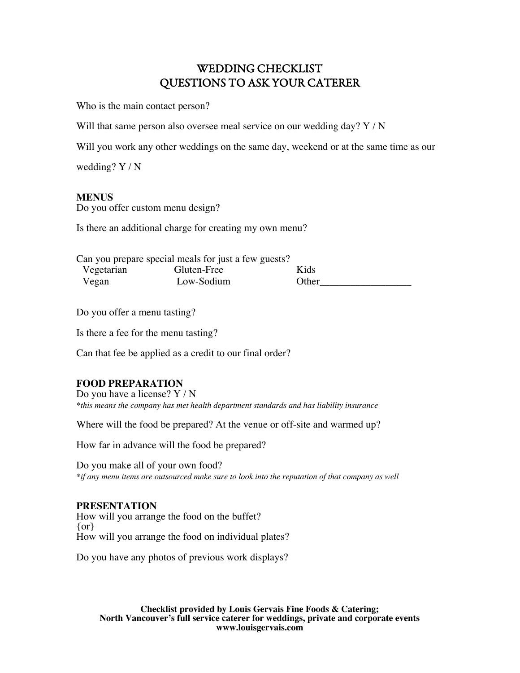# WEDDING CHECKLIST QUESTIONS TO ASK YOUR CATERER

Who is the main contact person?

Will that same person also oversee meal service on our wedding day? Y / N

Will you work any other weddings on the same day, weekend or at the same time as our

wedding? Y / N

# **MENUS**

Do you offer custom menu design?

Is there an additional charge for creating my own menu?

| Can you prepare special meals for just a few guests? |             |       |  |
|------------------------------------------------------|-------------|-------|--|
| Vegetarian                                           | Gluten-Free | Kids  |  |
| Vegan                                                | Low-Sodium  | Other |  |

Do you offer a menu tasting?

Is there a fee for the menu tasting?

Can that fee be applied as a credit to our final order?

# **FOOD PREPARATION**

Do you have a license? Y / N *\*this means the company has met health department standards and has liability insurance*

Where will the food be prepared? At the venue or off-site and warmed up?

How far in advance will the food be prepared?

Do you make all of your own food? *\*if any menu items are outsourced make sure to look into the reputation of that company as well*

#### **PRESENTATION**

How will you arrange the food on the buffet? {or} How will you arrange the food on individual plates?

Do you have any photos of previous work displays?

**Checklist provided by Louis Gervais Fine Foods & Catering; North Vancouver's full service caterer for weddings, private and corporate events www.louisgervais.com**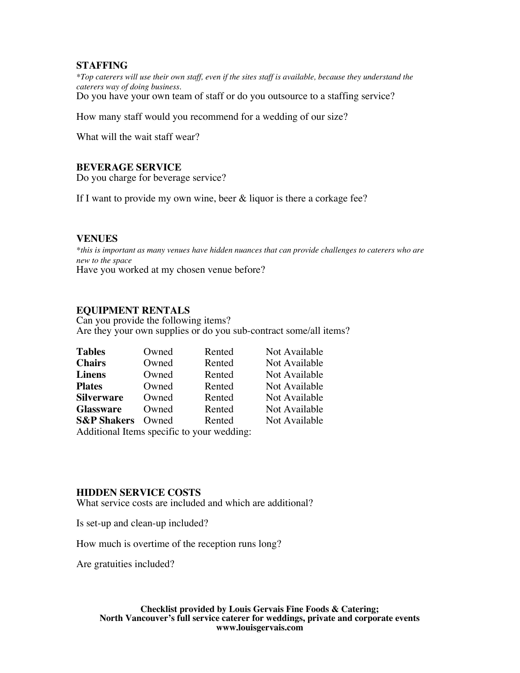## **STAFFING**

*\*Top caterers will use their own staff, even if the sites staff is available, because they understand the caterers way of doing business.* Do you have your own team of staff or do you outsource to a staffing service?

How many staff would you recommend for a wedding of our size?

What will the wait staff wear?

#### **BEVERAGE SERVICE**

Do you charge for beverage service?

If I want to provide my own wine, beer & liquor is there a corkage fee?

#### **VENUES**

*\*this is important as many venues have hidden nuances that can provide challenges to caterers who are new to the space* Have you worked at my chosen venue before?

#### **EQUIPMENT RENTALS**

Can you provide the following items? Are they your own supplies or do you sub-contract some/all items?

| <b>Tables</b>                              | Owned | Rented | Not Available |  |
|--------------------------------------------|-------|--------|---------------|--|
| <b>Chairs</b>                              | Owned | Rented | Not Available |  |
| <b>Linens</b>                              | Owned | Rented | Not Available |  |
| <b>Plates</b>                              | Owned | Rented | Not Available |  |
| <b>Silverware</b>                          | Owned | Rented | Not Available |  |
| <b>Glassware</b>                           | Owned | Rented | Not Available |  |
| <b>S&amp;P Shakers</b>                     | Owned | Rented | Not Available |  |
| Additional Itams specific to your wadding: |       |        |               |  |

Additional Items specific to your wedding:

#### **HIDDEN SERVICE COSTS**

What service costs are included and which are additional?

Is set-up and clean-up included?

How much is overtime of the reception runs long?

Are gratuities included?